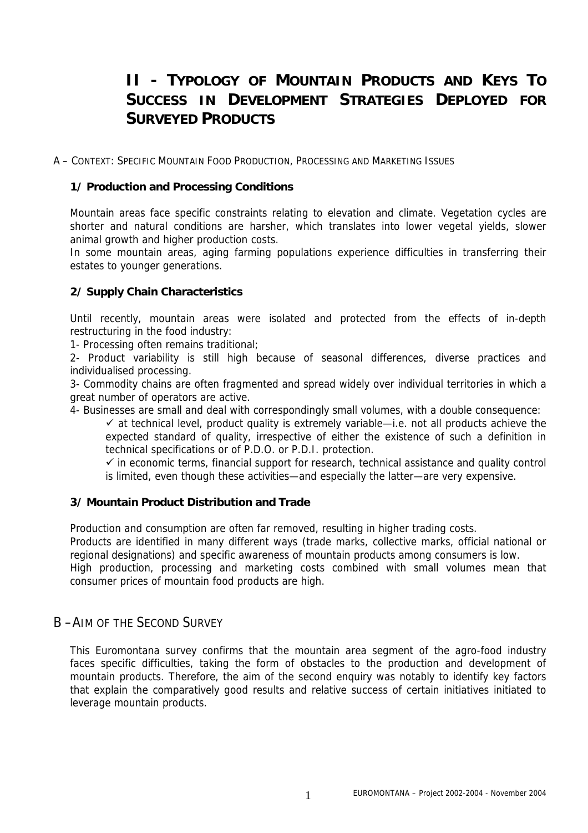# **II - TYPOLOGY OF MOUNTAIN PRODUCTS AND KEYS TO SUCCESS IN DEVELOPMENT STRATEGIES DEPLOYED FOR SURVEYED PRODUCTS**

A – CONTEXT: SPECIFIC MOUNTAIN FOOD PRODUCTION, PROCESSING AND MARKETING ISSUES

#### **1/ Production and Processing Conditions**

Mountain areas face specific constraints relating to elevation and climate. Vegetation cycles are shorter and natural conditions are harsher, which translates into lower vegetal yields, slower animal growth and higher production costs.

In some mountain areas, aging farming populations experience difficulties in transferring their estates to younger generations.

#### **2/ Supply Chain Characteristics**

Until recently, mountain areas were isolated and protected from the effects of in-depth restructuring in the food industry:

1- Processing often remains traditional;

2- Product variability is still high because of seasonal differences, diverse practices and individualised processing.

3- Commodity chains are often fragmented and spread widely over individual territories in which a great number of operators are active.

4- Businesses are small and deal with correspondingly small volumes, with a double consequence:

 $\checkmark$  at technical level, product quality is extremely variable—i.e. not all products achieve the expected standard of quality, irrespective of either the existence of such a definition in technical specifications or of P.D.O. or P.D.I. protection.

 $\checkmark$  in economic terms, financial support for research, technical assistance and quality control is limited, even though these activities—and especially the latter—are very expensive.

#### **3/ Mountain Product Distribution and Trade**

Production and consumption are often far removed, resulting in higher trading costs.

Products are identified in many different ways (trade marks, collective marks, official national or regional designations) and specific awareness of mountain products among consumers is low. High production, processing and marketing costs combined with small volumes mean that

consumer prices of mountain food products are high.

### B –AIM OF THE SECOND SURVEY

This Euromontana survey confirms that the mountain area segment of the agro-food industry faces specific difficulties, taking the form of obstacles to the production and development of mountain products. Therefore, the aim of the second enquiry was notably to identify key factors that explain the comparatively good results and relative success of certain initiatives initiated to leverage mountain products.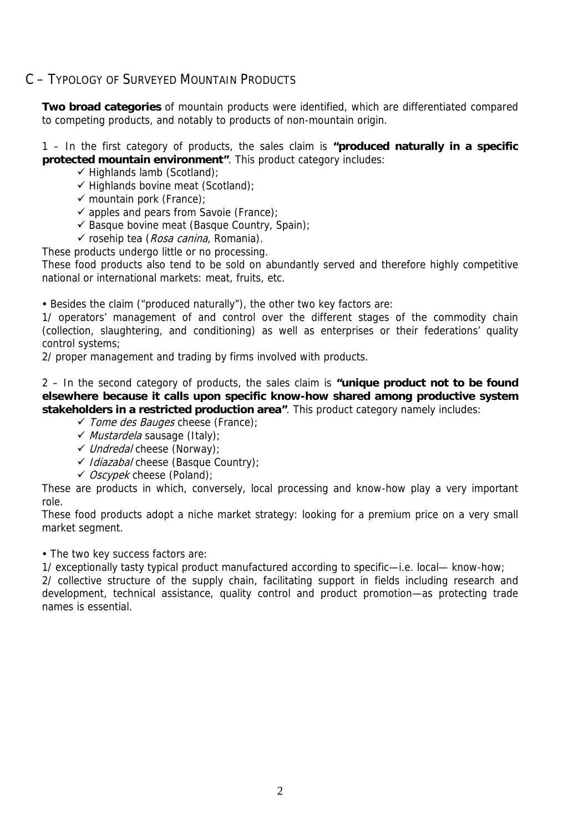### C – TYPOLOGY OF SURVEYED MOUNTAIN PRODUCTS

**Two broad categories** of mountain products were identified, which are differentiated compared to competing products, and notably to products of non-mountain origin.

1 – In the first category of products, the sales claim is **"produced naturally in a specific protected mountain environment"**. This product category includes:

- $\checkmark$  Highlands lamb (Scotland);
- $\checkmark$  Highlands bovine meat (Scotland);
- $\checkmark$  mountain pork (France);
- $\checkmark$  apples and pears from Savoie (France);
- $\checkmark$  Basque bovine meat (Basque Country, Spain);
- $\checkmark$  rosehip tea (*Rosa canina*, Romania).

These products undergo little or no processing.

These food products also tend to be sold on abundantly served and therefore highly competitive national or international markets: meat, fruits, etc.

• Besides the claim ("produced naturally"), the other two key factors are:

1/ operators' management of and control over the different stages of the commodity chain (collection, slaughtering, and conditioning) as well as enterprises or their federations' quality control systems;

2/ proper management and trading by firms involved with products.

2 – In the second category of products, the sales claim is **"unique product not to be found elsewhere because it calls upon specific know-how shared among productive system stakeholders in a restricted production area"**. This product category namely includes:

- $\checkmark$  Tome des Bauges cheese (France);
- $\checkmark$  Mustardela sausage (Italy);
- $\checkmark$  Undredal cheese (Norway);
- $\checkmark$  Idiazabal cheese (Basque Country);
- $\checkmark$  *Oscypek* cheese (Poland);

These are products in which, conversely, local processing and know-how play a very important role.

These food products adopt a niche market strategy: looking for a premium price on a very small market segment.

• The two key success factors are:

1/ exceptionally tasty typical product manufactured according to specific—i.e. local— know-how;

2/ collective structure of the supply chain, facilitating support in fields including research and development, technical assistance, quality control and product promotion—as protecting trade names is essential.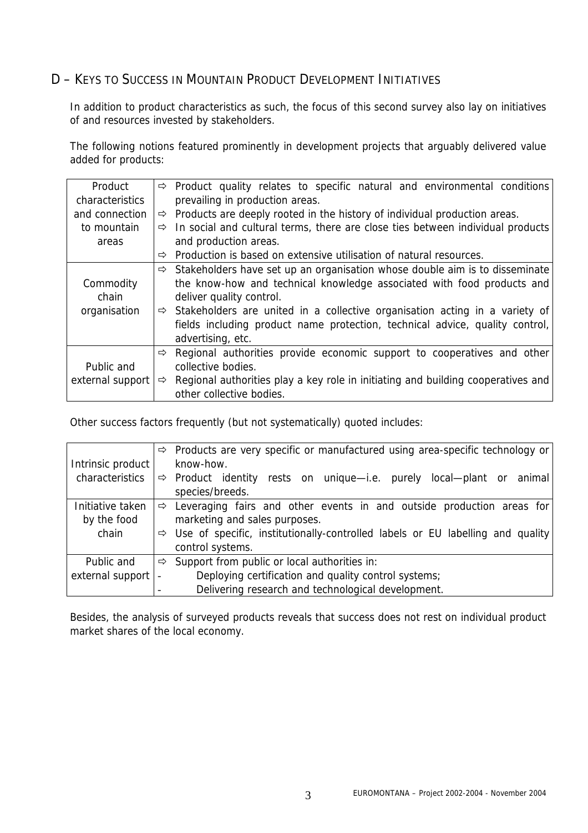## D – KEYS TO SUCCESS IN MOUNTAIN PRODUCT DEVELOPMENT INITIATIVES

In addition to product characteristics as such, the focus of this second survey also lay on initiatives of and resources invested by stakeholders.

The following notions featured prominently in development projects that arguably delivered value added for products:

| Product          |               | $\Rightarrow$ Product quality relates to specific natural and environmental conditions       |
|------------------|---------------|----------------------------------------------------------------------------------------------|
| characteristics  |               | prevailing in production areas.                                                              |
| and connection   |               | $\Rightarrow$ Products are deeply rooted in the history of individual production areas.      |
| to mountain      |               | $\Rightarrow$ In social and cultural terms, there are close ties between individual products |
| areas            |               | and production areas.                                                                        |
|                  | ⇨             | Production is based on extensive utilisation of natural resources.                           |
|                  |               | $\Rightarrow$ Stakeholders have set up an organisation whose double aim is to disseminate    |
| Commodity        |               | the know-how and technical knowledge associated with food products and                       |
| chain            |               | deliver quality control.                                                                     |
| organisation     |               | $\Rightarrow$ Stakeholders are united in a collective organisation acting in a variety of    |
|                  |               | fields including product name protection, technical advice, quality control,                 |
|                  |               | advertising, etc.                                                                            |
|                  | ⇨             | Regional authorities provide economic support to cooperatives and other                      |
| Public and       |               | collective bodies.                                                                           |
| external support | $\Rightarrow$ | Regional authorities play a key role in initiating and building cooperatives and             |
|                  |               | other collective bodies.                                                                     |

Other success factors frequently (but not systematically) quoted includes:

|                   | ⇨ | Products are very specific or manufactured using area-specific technology or     |
|-------------------|---|----------------------------------------------------------------------------------|
| Intrinsic product |   | know-how.                                                                        |
| characteristics   |   | $\Rightarrow$ Product identity rests on unique—i.e. purely local—plant or animal |
|                   |   | species/breeds.                                                                  |
| Initiative taken  | ⇨ | Leveraging fairs and other events in and outside production areas for            |
| by the food       |   | marketing and sales purposes.                                                    |
| chain             | ⇨ | Use of specific, institutionally-controlled labels or EU labelling and quality   |
|                   |   | control systems.                                                                 |
| Public and        | ⇨ | Support from public or local authorities in:                                     |
| external support  |   | Deploying certification and quality control systems;                             |
|                   |   | Delivering research and technological development.                               |

Besides, the analysis of surveyed products reveals that success does not rest on individual product market shares of the local economy.